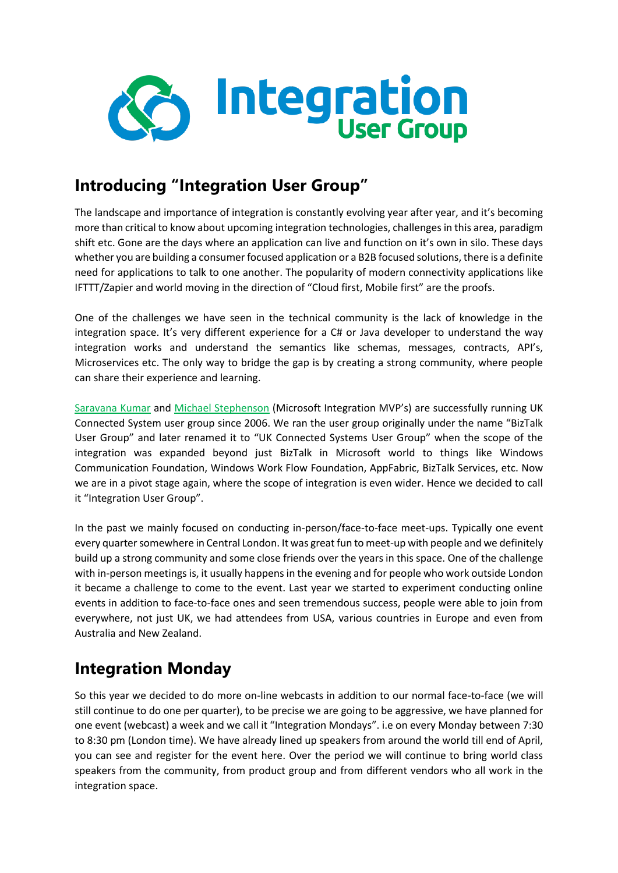

### **Introducing "Integration User Group"**

The landscape and importance of integration is constantly evolving year after year, and it's becoming more than critical to know about upcoming integration technologies, challenges in this area, paradigm shift etc. Gone are the days where an application can live and function on it's own in silo. These days whether you are building a consumer focused application or a B2B focused solutions, there is a definite need for applications to talk to one another. The popularity of modern connectivity applications like IFTTT/Zapier and world moving in the direction of "Cloud first, Mobile first" are the proofs.

One of the challenges we have seen in the technical community is the lack of knowledge in the integration space. It's very different experience for a C# or Java developer to understand the way integration works and understand the semantics like schemas, messages, contracts, API's, Microservices etc. The only way to bridge the gap is by creating a strong community, where people can share their experience and learning.

[Saravana Kumar](http://www.integrationusergroup.com/?staff=saravana-kumar) and [Michael Stephenson](http://www.integrationusergroup.com/?staff=michael-stephenson) (Microsoft Integration MVP's) are successfully running UK Connected System user group since 2006. We ran the user group originally under the name "BizTalk User Group" and later renamed it to "UK Connected Systems User Group" when the scope of the integration was expanded beyond just BizTalk in Microsoft world to things like Windows Communication Foundation, Windows Work Flow Foundation, AppFabric, BizTalk Services, etc. Now we are in a pivot stage again, where the scope of integration is even wider. Hence we decided to call it "Integration User Group".

In the past we mainly focused on conducting in-person/face-to-face meet-ups. Typically one event every quarter somewhere in Central London. It was great fun to meet-up with people and we definitely build up a strong community and some close friends over the years in this space. One of the challenge with in-person meetings is, it usually happens in the evening and for people who work outside London it became a challenge to come to the event. Last year we started to experiment conducting online events in addition to face-to-face ones and seen tremendous success, people were able to join from everywhere, not just UK, we had attendees from USA, various countries in Europe and even from Australia and New Zealand.

## **Integration Monday**

So this year we decided to do more on-line webcasts in addition to our normal face-to-face (we will still continue to do one per quarter), to be precise we are going to be aggressive, we have planned for one event (webcast) a week and we call it "Integration Mondays". i.e on every Monday between 7:30 to 8:30 pm (London time). We have already lined up speakers from around the world till end of April, you can see and register for the event here. Over the period we will continue to bring world class speakers from the community, from product group and from different vendors who all work in the integration space.